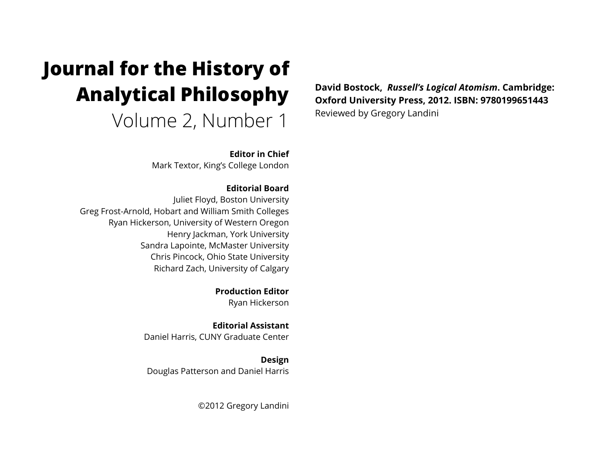# **Journal for the History of Analytical Philosophy**  Volume 2, Number 1

**Editor in Chief** Mark Textor, King's College London

**Editorial Board** Juliet Floyd, Boston University Greg Frost-Arnold, Hobart and William Smith Colleges Ryan Hickerson, University of Western Oregon Henry Jackman, York University Sandra Lapointe, McMaster University Chris Pincock, Ohio State University

Richard Zach, University of Calgary **Production Editor**

Ryan Hickerson

**Editorial Assistant** Daniel Harris, CUNY Graduate Center

**Design** Douglas Patterson and Daniel Harris

©2012 Gregory Landini

**David Bostock,** *Russell's Logical Atomism***. Cambridge: Oxford University Press, 2012. ISBN: 9780199651443** Reviewed by Gregory Landini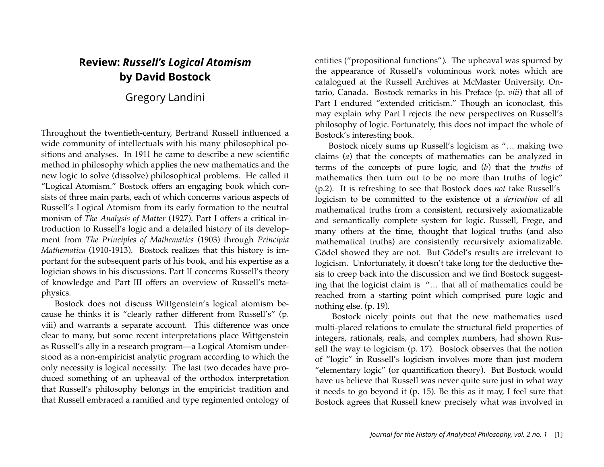## **Review:** *Russell's Logical Atomism*  **by David Bostock**

Gregory Landini

Throughout the twentieth-century, Bertrand Russell influenced a wide community of intellectuals with his many philosophical positions and analyses. In 1911 he came to describe a new scientific method in philosophy which applies the new mathematics and the new logic to solve (dissolve) philosophical problems. He called it "Logical Atomism." Bostock offers an engaging book which consists of three main parts, each of which concerns various aspects of Russell's Logical Atomism from its early formation to the neutral monism of *The Analysis of Matter* (1927). Part I offers a critical introduction to Russell's logic and a detailed history of its development from *The Principles of Mathematics* (1903) through *Principia Mathematica* (1910-1913). Bostock realizes that this history is important for the subsequent parts of his book, and his expertise as a logician shows in his discussions. Part II concerns Russell's theory of knowledge and Part III offers an overview of Russell's metaphysics.

Bostock does not discuss Wittgenstein's logical atomism because he thinks it is "clearly rather different from Russell's" (p. viii) and warrants a separate account. This difference was once clear to many, but some recent interpretations place Wittgenstein as Russell's ally in a research program—a Logical Atomism understood as a non-empiricist analytic program according to which the only necessity is logical necessity. The last two decades have produced something of an upheaval of the orthodox interpretation that Russell's philosophy belongs in the empiricist tradition and that Russell embraced a ramified and type regimented ontology of entities ("propositional functions"). The upheaval was spurred by the appearance of Russell's voluminous work notes which are catalogued at the Russell Archives at McMaster University, Ontario, Canada. Bostock remarks in his Preface (p. *viii*) that all of Part I endured "extended criticism." Though an iconoclast, this may explain why Part I rejects the new perspectives on Russell's philosophy of logic. Fortunately, this does not impact the whole of Bostock's interesting book.

Bostock nicely sums up Russell's logicism as "… making two claims (*a*) that the concepts of mathematics can be analyzed in terms of the concepts of pure logic, and (*b*) that the *truths* of mathematics then turn out to be no more than truths of logic" (p.2). It is refreshing to see that Bostock does *not* take Russell's logicism to be committed to the existence of a *derivation* of all mathematical truths from a consistent, recursively axiomatizable and semantically complete system for logic. Russell, Frege, and many others at the time, thought that logical truths (and also mathematical truths) are consistently recursively axiomatizable. Gödel showed they are not. But Gödel's results are irrelevant to logicism. Unfortunately, it doesn't take long for the deductive thesis to creep back into the discussion and we find Bostock suggesting that the logicist claim is "… that all of mathematics could be reached from a starting point which comprised pure logic and nothing else. (p. 19).

 Bostock nicely points out that the new mathematics used multi-placed relations to emulate the structural field properties of integers, rationals, reals, and complex numbers, had shown Russell the way to logicism (p. 17). Bostock observes that the notion of "logic" in Russell's logicism involves more than just modern "elementary logic" (or quantification theory). But Bostock would have us believe that Russell was never quite sure just in what way it needs to go beyond it (p. 15). Be this as it may, I feel sure that Bostock agrees that Russell knew precisely what was involved in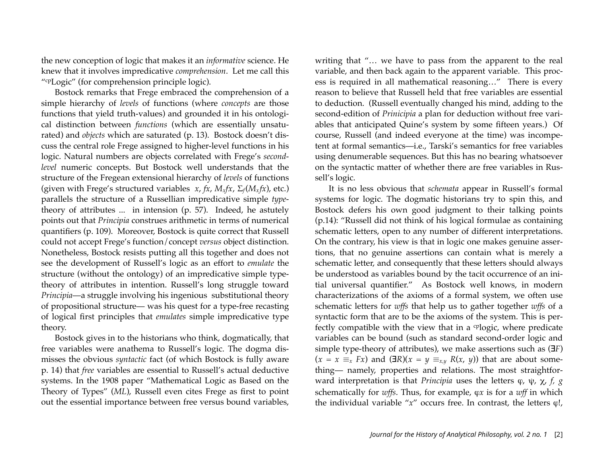the new conception of logic that makes it an *informative* science. He knew that it involves impredicative *comprehension*. Let me call this "cpLogic" (for comprehension principle logic).

Bostock remarks that Frege embraced the comprehension of a simple hierarchy of *levels* of functions (where *concepts* are those functions that yield truth-values) and grounded it in his ontological distinction between *functions* (which are essentially unsaturated) and *objects* which are saturated (p. 13). Bostock doesn't discuss the central role Frege assigned to higher-level functions in his logic. Natural numbers are objects correlated with Frege's *secondlevel* numeric concepts. But Bostock well understands that the structure of the Fregean extensional hierarchy of *levels* of functions (given with Frege's structured variables  $x$ ,  $fx$ ,  $M_xfx$ ,  $\Sigma_f(M_xfx)$ , etc.) parallels the structure of a Russellian impredicative simple *type*theory of attributes ... in intension (p. 57). Indeed, he astutely points out that *Principia* construes arithmetic in terms of numerical quantifiers (p. 109). Moreover, Bostock is quite correct that Russell could not accept Frege's function/concept *versus* object distinction. Nonetheless, Bostock resists putting all this together and does not see the development of Russell's logic as an effort to *emulate* the structure (without the ontology) of an impredicative simple typetheory of attributes in intention. Russell's long struggle toward *Principia*—a struggle involving his ingenious substitutional theory of propositional structure— was his quest for a type-free recasting of logical first principles that *emulates* simple impredicative type theory.

Bostock gives in to the historians who think, dogmatically, that free variables were anathema to Russell's logic. The dogma dismisses the obvious *syntactic* fact (of which Bostock is fully aware p. 14) that *free* variables are essential to Russell's actual deductive systems. In the 1908 paper "Mathematical Logic as Based on the Theory of Types" (*ML*), Russell even cites Frege as first to point out the essential importance between free versus bound variables,

writing that "… we have to pass from the apparent to the real variable, and then back again to the apparent variable. This process is required in all mathematical reasoning…" There is every reason to believe that Russell held that free variables are essential to deduction. (Russell eventually changed his mind, adding to the second-edition of *Prinicipia* a plan for deduction without free variables that anticipated Quine's system by some fifteen years.) Of course, Russell (and indeed everyone at the time) was incompetent at formal semantics—i.e., Tarski's semantics for free variables using denumerable sequences. But this has no bearing whatsoever on the syntactic matter of whether there are free variables in Russell's logic.

It is no less obvious that *schemata* appear in Russell's formal systems for logic. The dogmatic historians try to spin this, and Bostock defers his own good judgment to their talking points (p.14): "Russell did not think of his logical formulae as containing schematic letters, open to any number of different interpretations. On the contrary, his view is that in logic one makes genuine assertions, that no genuine assertions can contain what is merely a schematic letter, and consequently that these letters should always be understood as variables bound by the tacit occurrence of an initial universal quantifier." As Bostock well knows, in modern characterizations of the axioms of a formal system, we often use schematic letters for *wffs* that help us to gather together *wffs* of a syntactic form that are to be the axioms of the system. This is perfectly compatible with the view that in a <sup>cp</sup>logic, where predicate variables can be bound (such as standard second-order logic and simple type-theory of attributes), we make assertions such as (∃*F*)  $(x = x \equiv_{x} Fx)$  and  $(\exists R)(x = y \equiv_{x,y} R(x, y))$  that are about something— namely, properties and relations. The most straightforward interpretation is that *Principia* uses the letters ϕ, ψ, χ, *f, g* schematically for *wffs*. Thus, for example, ϕ*x* is for a *wff* in which the individual variable "*x*" occurs free. In contrast, the letters *φ*!,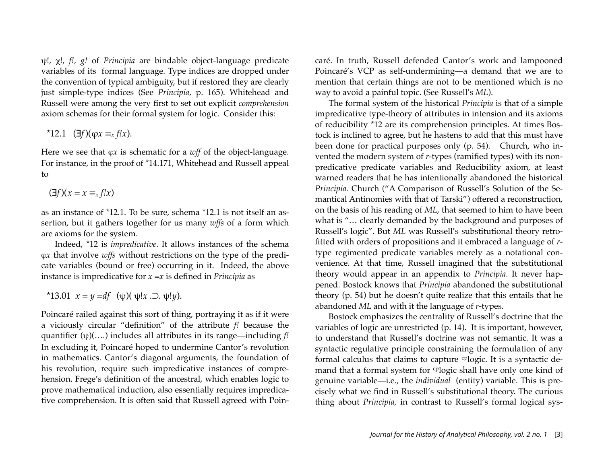ψ!, χ!, *f!, g!* of *Principia* are bindable object-language predicate variables of its formal language. Type indices are dropped under the convention of typical ambiguity, but if restored they are clearly just simple-type indices (See *Principia,* p. 165). Whitehead and Russell were among the very first to set out explicit *comprehension*  axiom schemas for their formal system for logic. Consider this:

 $*12.1$  (∃*f*)( $\varphi x \equiv_{x} f!x$ ).

Here we see that φ*x* is schematic for a *wff* of the object-language. For instance, in the proof of \*14.171, Whitehead and Russell appeal to

$$
(\exists f)(x = x \equiv_x f!x)
$$

as an instance of \*12.1. To be sure, schema \*12.1 is not itself an assertion, but it gathers together for us many *wffs* of a form which are axioms for the system.

Indeed, \*12 is *impredicative*. It allows instances of the schema ϕ*x* that involve *wffs* without restrictions on the type of the predicate variables (bound or free) occurring in it. Indeed, the above instance is impredicative for *x* =*x* is defined in *Principia* as

\*13.01 
$$
x = y = df
$$
 ( $\psi$ )( $\psi$ !x . $\supset$ . $\psi$ !y).

Poincaré railed against this sort of thing, portraying it as if it were a viciously circular "definition" of the attribute *f!* because the quantifier (ψ)(….) includes all attributes in its range—including *f!* In excluding it, Poincaré hoped to undermine Cantor's revolution in mathematics. Cantor's diagonal arguments, the foundation of his revolution, require such impredicative instances of comprehension. Frege's definition of the ancestral, which enables logic to prove mathematical induction, also essentially requires impredicative comprehension. It is often said that Russell agreed with Poincaré. In truth, Russell defended Cantor's work and lampooned Poincaré's VCP as self-undermining—a demand that we are to mention that certain things are not to be mentioned which is no way to avoid a painful topic. (See Russell's *ML*).

The formal system of the historical *Principia* is that of a simple impredicative type-theory of attributes in intension and its axioms of reducibility \*12 are its comprehension principles. At times Bostock is inclined to agree, but he hastens to add that this must have been done for practical purposes only (p. 54). Church, who invented the modern system of *r*-types (ramified types) with its nonpredicative predicate variables and Reducibility axiom, at least warned readers that he has intentionally abandoned the historical *Principia.* Church ("A Comparison of Russell's Solution of the Semantical Antinomies with that of Tarski") offered a reconstruction, on the basis of his reading of *ML*, that seemed to him to have been what is "… clearly demanded by the background and purposes of Russell's logic". But *ML* was Russell's substitutional theory retrofitted with orders of propositions and it embraced a language of *r*type regimented predicate variables merely as a notational convenience. At that time, Russell imagined that the substitutional theory would appear in an appendix to *Principia*. It never happened. Bostock knows that *Principia* abandoned the substitutional theory (p. 54) but he doesn't quite realize that this entails that he abandoned *ML* and with it the language of *r*-types.

Bostock emphasizes the centrality of Russell's doctrine that the variables of logic are unrestricted (p. 14). It is important, however, to understand that Russell's doctrine was not semantic. It was a syntactic regulative principle constraining the formulation of any formal calculus that claims to capture cplogic. It is a syntactic demand that a formal system for <sup>cp</sup>logic shall have only one kind of genuine variable—i.e., the *individual* (entity) variable. This is precisely what we find in Russell's substitutional theory. The curious thing about *Principia,* in contrast to Russell's formal logical sys-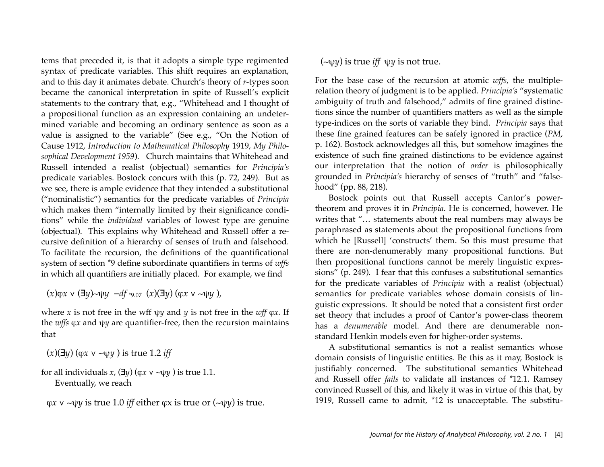tems that preceded it, is that it adopts a simple type regimented syntax of predicate variables. This shift requires an explanation, and to this day it animates debate. Church's theory of *r*-types soon became the canonical interpretation in spite of Russell's explicit statements to the contrary that, e.g., "Whitehead and I thought of a propositional function as an expression containing an undetermined variable and becoming an ordinary sentence as soon as a value is assigned to the variable" (See e.g., "On the Notion of Cause 1912, *Introduction to Mathematical Philosophy* 1919, *My Philosophical Development 1959*). Church maintains that Whitehead and Russell intended a realist (objectual) semantics for *Principia's* predicate variables. Bostock concurs with this (p. 72, 249). But as we see, there is ample evidence that they intended a substitutional ("nominalistic") semantics for the predicate variables of *Principia*  which makes them "internally limited by their significance conditions" while the *individual* variables of lowest type are genuine (objectual). This explains why Whitehead and Russell offer a recursive definition of a hierarchy of senses of truth and falsehood. To facilitate the recursion, the definitions of the quantificational system of section \*9 define subordinate quantifiers in terms of *wffs*  in which all quantifiers are initially placed. For example, we find

(*x*)ϕ*x* ∨ (∃*y*)∼ψ*y =df* \*9.07 (*x*)(∃*y*) (ϕ*x* ∨ ∼ψ*y* ),

where *x* is not free in the wff  $\psi$ *y* and *y* is not free in the *wff*  $\varphi$ *x*. If the *wffs* ϕ*x* and ψ*y* are quantifier-free, then the recursion maintains that

$$
(x)(\exists y)
$$
  $(\varphi x \vee \neg \psi y)$  is true 1.2 iff

for all individuals  $x$ ,  $(\exists y)$  ( $\varphi x \vee \neg \psi y$ ) is true 1.1. Eventually, we reach

ϕ*x* ∨ ∼ψ*y* is true 1.0 *iff* either ϕx is true or (∼ψ*y*) is true.

### (∼ψ*y*) is true *iff* ψ*y* is not true.

For the base case of the recursion at atomic *wffs*, the multiplerelation theory of judgment is to be applied. *Principia's* "systematic ambiguity of truth and falsehood," admits of fine grained distinctions since the number of quantifiers matters as well as the simple type-indices on the sorts of variable they bind. *Principia* says that these fine grained features can be safely ignored in practice (*PM*, p. 162). Bostock acknowledges all this, but somehow imagines the existence of such fine grained distinctions to be evidence against our interpretation that the notion of *order* is philosophically grounded in *Principia's* hierarchy of senses of "truth" and "falsehood" (pp. 88, 218).

Bostock points out that Russell accepts Cantor's powertheorem and proves it in *Principia*. He is concerned, however. He writes that "… statements about the real numbers may always be paraphrased as statements about the propositional functions from which he [Russell] 'constructs' them. So this must presume that there are non-denumerably many propositional functions. But then propositional functions cannot be merely linguistic expressions" (p. 249). I fear that this confuses a substitutional semantics for the predicate variables of *Principia* with a realist (objectual) semantics for predicate variables whose domain consists of linguistic expressions. It should be noted that a consistent first order set theory that includes a proof of Cantor's power-class theorem has a *denumerable* model. And there are denumerable nonstandard Henkin models even for higher-order systems.

A substitutional semantics is not a realist semantics whose domain consists of linguistic entities. Be this as it may, Bostock is justifiably concerned. The substitutional semantics Whitehead and Russell offer *fails* to validate all instances of \*12.1. Ramsey convinced Russell of this, and likely it was in virtue of this that, by 1919, Russell came to admit, \*12 is unacceptable. The substitu-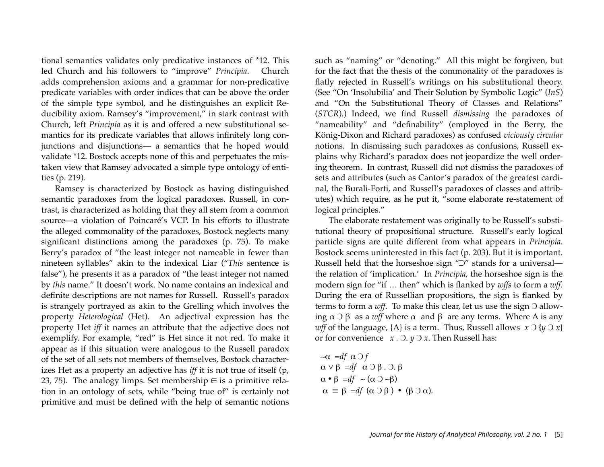tional semantics validates only predicative instances of \*12. This led Church and his followers to "improve" *Principia*. Church adds comprehension axioms and a grammar for non-predicative predicate variables with order indices that can be above the order of the simple type symbol, and he distinguishes an explicit Reducibility axiom. Ramsey's "improvement," in stark contrast with Church, left *Principia* as it is and offered a new substitutional semantics for its predicate variables that allows infinitely long conjunctions and disjunctions— a semantics that he hoped would validate \*12. Bostock accepts none of this and perpetuates the mistaken view that Ramsey advocated a simple type ontology of entities (p. 219).

Ramsey is characterized by Bostock as having distinguished semantic paradoxes from the logical paradoxes. Russell, in contrast, is characterized as holding that they all stem from a common source—a violation of Poincaré's VCP. In his efforts to illustrate the alleged commonality of the paradoxes, Bostock neglects many significant distinctions among the paradoxes (p. 75). To make Berry's paradox of "the least integer not nameable in fewer than nineteen syllables" akin to the indexical Liar ("*This* sentence is false"), he presents it as a paradox of "the least integer not named by *this* name." It doesn't work. No name contains an indexical and definite descriptions are not names for Russell. Russell's paradox is strangely portrayed as akin to the Grelling which involves the property *Heterological* (Het)*.* An adjectival expression has the property Het *iff* it names an attribute that the adjective does not exemplify. For example, "red" is Het since it not red. To make it appear as if this situation were analogous to the Russell paradox of the set of all sets not members of themselves, Bostock characterizes Het as a property an adjective has *iff* it is not true of itself (p, 23, 75). The analogy limps. Set membership  $\in$  is a primitive relation in an ontology of sets, while "being true of" is certainly not primitive and must be defined with the help of semantic notions

such as "naming" or "denoting." All this might be forgiven, but for the fact that the thesis of the commonality of the paradoxes is flatly rejected in Russell's writings on his substitutional theory. (See "On 'Insolubilia' and Their Solution by Symbolic Logic" (*InS*) and "On the Substitutional Theory of Classes and Relations" (*STCR*).) Indeed, we find Russell *dismissing* the paradoxes of "nameability" and "definability" (employed in the Berry, the König-Dixon and Richard paradoxes) as confused *viciously circular* notions. In dismissing such paradoxes as confusions, Russell explains why Richard's paradox does not jeopardize the well ordering theorem. In contrast, Russell did not dismiss the paradoxes of sets and attributes (such as Cantor's paradox of the greatest cardinal, the Burali-Forti, and Russell's paradoxes of classes and attributes) which require, as he put it, "some elaborate re-statement of logical principles."

The elaborate restatement was originally to be Russell's substitutional theory of propositional structure. Russell's early logical particle signs are quite different from what appears in *Principia*. Bostock seems uninterested in this fact (p. 203). But it is important. Russell held that the horseshoe sign *"*⊃" stands for a universal the relation of 'implication.' In *Principia,* the horseshoe sign is the modern sign for "if … then" which is flanked by *wffs* to form a *wff.*  During the era of Russellian propositions, the sign is flanked by terms to form a *wff*. To make this clear, let us use the sign Ͻ allowing  $\alpha \supset \beta$  as a *wff* where  $\alpha$  and  $\beta$  are any terms. Where A is any *wff* of the language,  ${A}$  is a term. Thus, Russell allows  $x \supset \{y \supset x\}$ or for convenience *x .* Ͻ. *y* Ͻ *x*. Then Russell has:

$$
\begin{aligned}\n&\sim \alpha \quad \text{def} \quad \alpha \supset f \\
&\alpha \vee \beta \quad \text{def} \quad \alpha \supset \beta \quad \text{.} \quad \beta \\
&\alpha \cdot \beta \quad \text{def} \quad \sim (\alpha \supset \neg \beta) \\
&\alpha \equiv \beta \quad \text{def} \quad (\alpha \supset \beta) \quad \text{.} \quad (\beta \supset \alpha).\n\end{aligned}
$$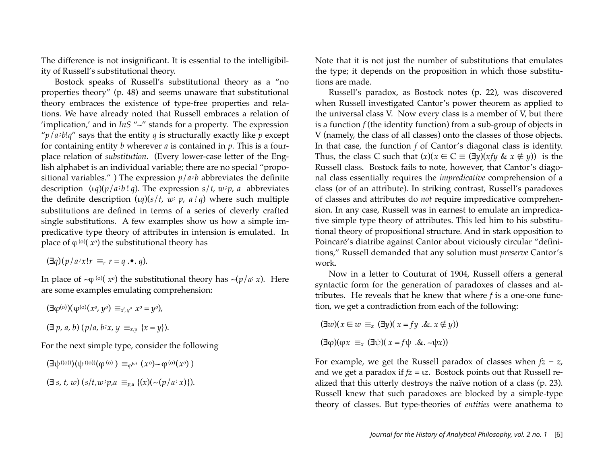The difference is not insignificant. It is essential to the intelligibility of Russell's substitutional theory.

Bostock speaks of Russell's substitutional theory as a "no properties theory" (p. 48) and seems unaware that substitutional theory embraces the existence of type-free properties and relations. We have already noted that Russell embraces a relation of 'implication,' and in *InS* "∼" stands for a property. The expression " $p/a/b!q$ " says that the entity  $q$  is structurally exactly like  $p$  except for containing entity *b* wherever *a* is contained in *p*. This is a fourplace relation of *substitution*. (Every lower-case letter of the English alphabet is an individual variable; there are no special "propositional variables.") The expression  $p/a/b$  abbreviates the definite description (ι*q*)(*p*/*a* **;** *b* ! *q*). The expression *s*/*t*, *w* **;** *p*, *a* abbreviates the definite description  $(uq)(s/t, w, p, a/q)$  where such multiple substitutions are defined in terms of a series of cleverly crafted single substitutions. A few examples show us how a simple impredicative type theory of attributes in intension is emulated. In place of  $\varphi^{(0)}(x^0)$  the substitutional theory has

$$
(\exists q)(p/a \, ix \, !r \equiv_r r = q \cdot \bullet \cdot q).
$$

In place of ∼ϕ (o)( *xo*) the substitutional theory has ∼(*p*/*a*; *x*). Here are some examples emulating comprehension:

$$
(\exists \varphi^{(o)})(\varphi^{(o)}(x^o, y^o) \equiv_{x^o, y^o} x^o = y^o),
$$
  

$$
(\exists p, a, b) (p/a, b \, x, y \equiv_{x,y} \{x = y\}).
$$

For the next simple type, consider the following

$$
(\exists \psi^{(0)})(\psi^{(0)})(\varphi^{(0)}) \equiv_{\varphi^{(0)}} (x^0) \sim \varphi^{(0)}(x^0)
$$
  

$$
(\exists s, t, w) (s/t, w : p, a \equiv_{p, a} \{(x)(\sim (p/a : x))\}.
$$

Note that it is not just the number of substitutions that emulates the type; it depends on the proposition in which those substitutions are made.

Russell's paradox, as Bostock notes (p. 22), was discovered when Russell investigated Cantor's power theorem as applied to the universal class V. Now every class is a member of V, but there is a function *f* (the identity function) from a sub-group of objects in V (namely, the class of all classes) onto the classes of those objects. In that case, the function *f* of Cantor's diagonal class is identity. Thus, the class C such that  $(x)(x \in C \equiv (\exists y)(xfy \& x \notin y))$  is the Russell class. Bostock fails to note, however, that Cantor's diagonal class essentially requires the *impredicative* comprehension of a class (or of an attribute). In striking contrast, Russell's paradoxes of classes and attributes do *not* require impredicative comprehension. In any case, Russell was in earnest to emulate an impredicative simple type theory of attributes. This led him to his substitutional theory of propositional structure. And in stark opposition to Poincaré's diatribe against Cantor about viciously circular "definitions," Russell demanded that any solution must *preserve* Cantor's work.

Now in a letter to Couturat of 1904, Russell offers a general syntactic form for the generation of paradoxes of classes and attributes. He reveals that he knew that where *f* is a one-one function, we get a contradiction from each of the following:

 $(\exists w)(x \in w \equiv x (\exists y)(x = fy \cdot \& x \notin y))$  $(\exists \varphi)(\varphi x \equiv_x (\exists \psi)(x = f \psi \cdot \& \neg \psi x))$ 

For example, we get the Russell paradox of classes when  $fz = z$ , and we get a paradox if  $fz = \iota z$ . Bostock points out that Russell realized that this utterly destroys the naïve notion of a class (p. 23). Russell knew that such paradoxes are blocked by a simple-type theory of classes. But type-theories of *entities* were anathema to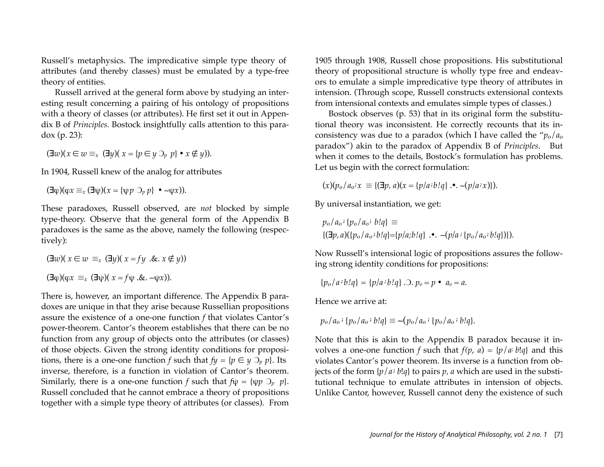Russell's metaphysics. The impredicative simple type theory of attributes (and thereby classes) must be emulated by a type-free theory of entities.

Russell arrived at the general form above by studying an interesting result concerning a pairing of his ontology of propositions with a theory of classes (or attributes). He first set it out in Appendix B of *Principles.* Bostock insightfully calls attention to this paradox (p. 23):

 $(\exists w)(x \in w \equiv x \ (\exists y)(x = {p \in y \cup p \ \cdot x \notin y}).$ 

In 1904, Russell knew of the analog for attributes

 $(\exists \varphi)(\varphi x \equiv_x (\exists \psi)(x = {\psi p \supset_{p} p} \bullet \neg \psi x)).$ 

These paradoxes, Russell observed, are *not* blocked by simple type-theory. Observe that the general form of the Appendix B paradoxes is the same as the above, namely the following (respectively):

$$
(\exists w)(x \in w \equiv_x (\exists y)(x = fy \cdot \& x \notin y))
$$

$$
(\exists \phi)(\phi x \equiv_x (\exists \psi)(x = f\psi \cdot \& \neg \psi x)).
$$

There is, however, an important difference. The Appendix B paradoxes are unique in that they arise because Russellian propositions assure the existence of a one-one function *f* that violates Cantor's power-theorem. Cantor's theorem establishes that there can be no function from any group of objects onto the attributes (or classes) of those objects. Given the strong identity conditions for propositions, there is a one-one function *f* such that  $f y = {p \in y \supset_p p}$ . Its inverse, therefore, is a function in violation of Cantor's theorem. Similarly, there is a one-one function *f* such that  $f\psi = {\psi p \; \partial_p \; p}$ . Russell concluded that he cannot embrace a theory of propositions together with a simple type theory of attributes (or classes). From

1905 through 1908, Russell chose propositions. His substitutional theory of propositional structure is wholly type free and endeavors to emulate a simple impredicative type theory of attributes in intension. (Through scope, Russell constructs extensional contexts from intensional contexts and emulates simple types of classes.)

Bostock observes (p. 53) that in its original form the substitutional theory was inconsistent. He correctly recounts that its inconsistency was due to a paradox (which I have called the "*p*o/*a*<sup>o</sup> paradox") akin to the paradox of Appendix B of *Principles*. But when it comes to the details, Bostock's formulation has problems. Let us begin with the correct formulation:

$$
(x)(p_o/a_o \cdot x) \equiv \{(\exists p, a)(x = \{p/a \cdot b!q\} \cdot \cdot \cdot (p/a \cdot x)\}).
$$

By universal instantiation, we get:

$$
p_{o}/a_{o} \,:\, \{p_{o}/a_{o} \,:\, b!q\} \equiv
$$
  

$$
\{(\exists p, a)(\{p_{o}/a_{o} \,:\, b!q\} = \{p/a; b!q\} \cdot \cdot \sim (p/a \,:\, \{p_{o}/a_{o} \,:\, b!q\})\}.
$$

Now Russell's intensional logic of propositions assures the following strong identity conditions for propositions:

$$
\{p_o/a \cdot b!q\} = \{p/a \cdot b!q\} \, . \, . \, p_o = p \bullet a_o = a.
$$

Hence we arrive at:

$$
p_0/a_0
$$
: { $p_0/a_0$ :  $b!q$ }  $\equiv$  -( $p_0/a_0$ : { $p_0/a_0$ :  $b!q$  }.

Note that this is akin to the Appendix B paradox because it involves a one-one function *f* such that  $f(p, a) = \{p/a; b!q\}$  and this violates Cantor's power theorem. Its inverse is a function from objects of the form  $\{p/a : b!q\}$  to pairs *p*, *a* which are used in the substitutional technique to emulate attributes in intension of objects. Unlike Cantor, however, Russell cannot deny the existence of such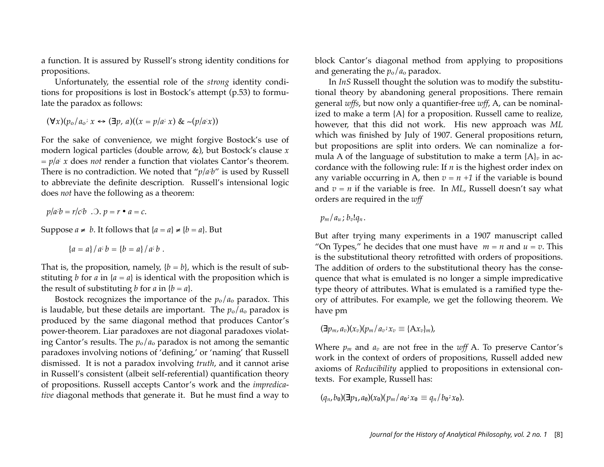a function. It is assured by Russell's strong identity conditions for propositions.

Unfortunately, the essential role of the *strong* identity conditions for propositions is lost in Bostock's attempt (p.53) to formulate the paradox as follows:

$$
(\forall x)(p_{o}/a_{o}: x \leftrightarrow (\exists p, a)((x = p/a: x) \& \sim (p/a: x))
$$

For the sake of convenience, we might forgive Bostock's use of modern logical particles (double arrow, &), but Bostock's clause *x = p/a; x* does *not* render a function that violates Cantor's theorem. There is no contradiction. We noted that "*p/a*; *b*" is used by Russell to abbreviate the definite description*.* Russell's intensional logic does *not* have the following as a theorem:

$$
p/a'b = r/c'b \quad \text{.0. } p = r \cdot a = c.
$$

Suppose  $a \neq b$ . It follows that  $\{a = a\} \neq \{b = a\}$ . But

$$
\{a = a\}/a\, b = \{b = a\}/a\, b.
$$

That is, the proposition, namely,  ${b = b}$ , which is the result of substituting *b* for *a* in  ${a = a}$  is identical with the proposition which is the result of substituting *b* for *a* in  ${b = a}$ .

Bostock recognizes the importance of the  $p_0/a_0$  paradox. This is laudable, but these details are important. The  $p_0/a_0$  paradox is produced by the same diagonal method that produces Cantor's power-theorem. Liar paradoxes are not diagonal paradoxes violating Cantor's results. The  $p_0/a_0$  paradox is not among the semantic paradoxes involving notions of 'defining,' or 'naming' that Russell dismissed. It is not a paradox involving *truth*, and it cannot arise in Russell's consistent (albeit self-referential) quantification theory of propositions. Russell accepts Cantor's work and the *impredicative* diagonal methods that generate it. But he must find a way to block Cantor's diagonal method from applying to propositions and generating the *p*o/*a*<sup>o</sup> paradox.

In *InS* Russell thought the solution was to modify the substitutional theory by abandoning general propositions. There remain general *wffs*, but now only a quantifier-free *wff*, A, can be nominalized to make a term {A} for a proposition. Russell came to realize, however, that this did not work. His new approach was *ML* which was finished by July of 1907. General propositions return, but propositions are split into orders. We can nominalize a formula A of the language of substitution to make a term  ${A}_v$  in accordance with the following rule: If *n* is the highest order index on any variable occurring in A, then  $v = n + 1$  if the variable is bound and  $v = n$  if the variable is free. In *ML*, Russell doesn't say what orders are required in the *wff*

### $p_m/a_u$ ;  $b_v!a_n$ .

But after trying many experiments in a 1907 manuscript called "On Types," he decides that one must have  $m = n$  and  $u = v$ . This is the substitutional theory retrofitted with orders of propositions. The addition of orders to the substitutional theory has the consequence that what is emulated is no longer a simple impredicative type theory of attributes. What is emulated is a ramified type theory of attributes. For example, we get the following theorem. We have pm

$$
(\mathbf{\exists} p_m, a_v)(x_v)(p_m/a_v \mathbf{:} x_v \equiv \{\mathbf{A} x_v\}_m),
$$

Where  $p_m$  and  $a_v$  are not free in the  $wff$  A. To preserve Cantor's work in the context of orders of propositions, Russell added new axioms of *Reducibility* applied to propositions in extensional contexts. For example, Russell has:

 $(q_n, b_0)(\exists p_1, a_0)(x_0)(p_m/a_0 \cdot x_0) \equiv q_n/b_0 \cdot x_0$ .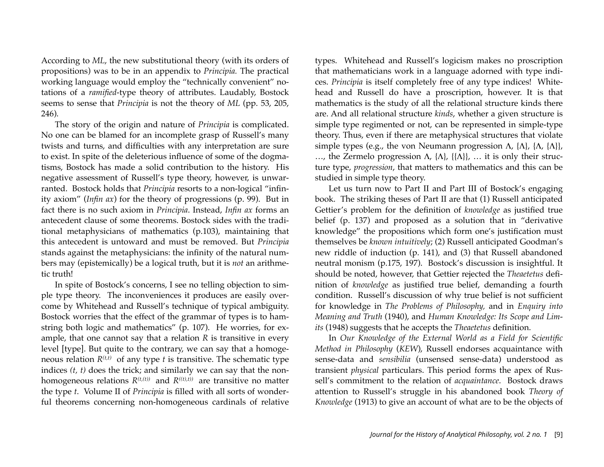According to *ML*, the new substitutional theory (with its orders of propositions) was to be in an appendix to *Principia.* The practical working language would employ the "technically convenient" notations of a *ramified*-type theory of attributes. Laudably, Bostock seems to sense that *Principia* is not the theory of *ML* (pp. 53, 205, 246).

The story of the origin and nature of *Principia* is complicated. No one can be blamed for an incomplete grasp of Russell's many twists and turns, and difficulties with any interpretation are sure to exist. In spite of the deleterious influence of some of the dogmatisms, Bostock has made a solid contribution to the history. His negative assessment of Russell's type theory, however, is unwarranted. Bostock holds that *Principia* resorts to a non-logical "infinity axiom" (*Infin ax*) for the theory of progressions (p. 99). But in fact there is no such axiom in *Principia*. Instead, *Infin ax* forms an antecedent clause of some theorems. Bostock sides with the traditional metaphysicians of mathematics (p.103), maintaining that this antecedent is untoward and must be removed. But *Principia* stands against the metaphysicians: the infinity of the natural numbers may (epistemically) be a logical truth, but it is *not* an arithmetic truth!

In spite of Bostock's concerns, I see no telling objection to simple type theory. The inconveniences it produces are easily overcome by Whitehead and Russell's technique of typical ambiguity. Bostock worries that the effect of the grammar of types is to hamstring both logic and mathematics" (p. 107). He worries, for example, that one cannot say that a relation *R* is transitive in every level [type]. But quite to the contrary, we can say that a homogeneous relation  $R^{(t,t)}$  of any type *t* is transitive. The schematic type indices *(t, t)* does the trick; and similarly we can say that the nonhomogeneous relations  $R^{(t,(t))}$  and  $R^{((t),t)}$  are transitive no matter the type *t*. Volume II of *Principia* is filled with all sorts of wonderful theorems concerning non-homogeneous cardinals of relative types. Whitehead and Russell's logicism makes no proscription that mathematicians work in a language adorned with type indices. *Principia* is itself completely free of any type indices! Whitehead and Russell do have a proscription, however. It is that mathematics is the study of all the relational structure kinds there are. And all relational structure *kinds*, whether a given structure is simple type regimented or not, can be represented in simple-type theory. Thus, even if there are metaphysical structures that violate simple types (e.g., the von Neumann progression  $\Lambda$ ,  $\{\Lambda\}$ ,  $\{\Lambda\}$ ,  $\{\Lambda\}$ ), ..., the Zermelo progression Λ,  $\{\Lambda\}$ ,  $\{\{\Lambda\}\}\)$ , ... it is only their structure type, *progression*, that matters to mathematics and this can be studied in simple type theory.

Let us turn now to Part II and Part III of Bostock's engaging book. The striking theses of Part II are that (1) Russell anticipated Gettier's problem for the definition of *knowledge* as justified true belief (p. 137) and proposed as a solution that in "derivative knowledge" the propositions which form one's justification must themselves be *known intuitively*; (2) Russell anticipated Goodman's new riddle of induction (p. 141), and (3) that Russell abandoned neutral monism (p.175, 197). Bostock's discussion is insightful. It should be noted, however, that Gettier rejected the *Theaetetus* definition of *knowledge* as justified true belief, demanding a fourth condition. Russell's discussion of why true belief is not sufficient for knowledge in *The Problems of Philosophy,* and in *Enquiry into Meaning and Truth* (1940), and *Human Knowledge: Its Scope and Limits* (1948) suggests that he accepts the *Theaetetus* definition.

In *Our Knowledge of the External World as a Field for Scientific Method in Philosophy* (*KEW*), Russell endorses acquaintance with sense-data and *sensibilia* (unsensed sense-data) understood as transient *physical* particulars. This period forms the apex of Russell's commitment to the relation of *acquaintance*. Bostock draws attention to Russell's struggle in his abandoned book *Theory of Knowledge* (1913) to give an account of what are to be the objects of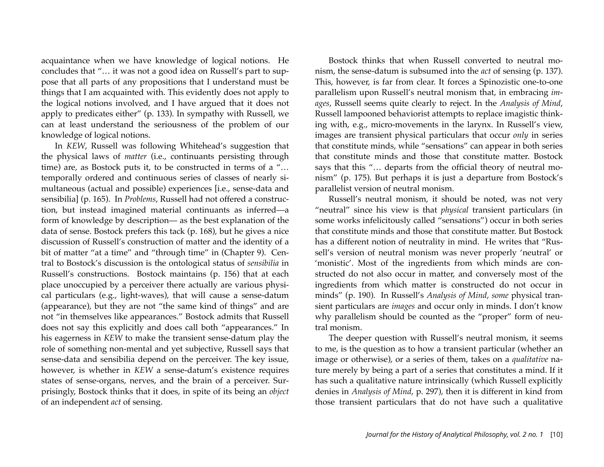acquaintance when we have knowledge of logical notions. He concludes that "… it was not a good idea on Russell's part to suppose that all parts of any propositions that I understand must be things that I am acquainted with. This evidently does not apply to the logical notions involved, and I have argued that it does not apply to predicates either" (p. 133). In sympathy with Russell, we can at least understand the seriousness of the problem of our knowledge of logical notions.

In *KEW*, Russell was following Whitehead's suggestion that the physical laws of *matter* (i.e., continuants persisting through time) are, as Bostock puts it, to be constructed in terms of a "… temporally ordered and continuous series of classes of nearly simultaneous (actual and possible) experiences [i.e., sense-data and sensibilia] (p. 165). In *Problems*, Russell had not offered a construction, but instead imagined material continuants as inferred—a form of knowledge by description— as the best explanation of the data of sense. Bostock prefers this tack (p. 168), but he gives a nice discussion of Russell's construction of matter and the identity of a bit of matter "at a time" and "through time" in (Chapter 9). Central to Bostock's discussion is the ontological status of *sensibilia* in Russell's constructions. Bostock maintains (p. 156) that at each place unoccupied by a perceiver there actually are various physical particulars (e.g., light-waves), that will cause a sense-datum (appearance), but they are not "the same kind of things" and are not "in themselves like appearances." Bostock admits that Russell does not say this explicitly and does call both "appearances." In his eagerness in *KEW* to make the transient sense-datum play the role of something non-mental and yet subjective, Russell says that sense-data and sensibilia depend on the perceiver. The key issue, however, is whether in *KEW* a sense-datum's existence requires states of sense-organs, nerves, and the brain of a perceiver. Surprisingly, Bostock thinks that it does, in spite of its being an *object* of an independent *act* of sensing.

Bostock thinks that when Russell converted to neutral monism, the sense-datum is subsumed into the *act* of sensing (p. 137). This, however, is far from clear. It forces a Spinozistic one-to-one parallelism upon Russell's neutral monism that, in embracing *images*, Russell seems quite clearly to reject. In the *Analysis of Mind*, Russell lampooned behaviorist attempts to replace imagistic thinking with, e.g., micro-movements in the larynx. In Russell's view, images are transient physical particulars that occur *only* in series that constitute minds, while "sensations" can appear in both series that constitute minds and those that constitute matter. Bostock says that this "… departs from the official theory of neutral monism" (p. 175). But perhaps it is just a departure from Bostock's parallelist version of neutral monism.

Russell's neutral monism, it should be noted, was not very "neutral" since his view is that *physical* transient particulars (in some works infelicitously called "sensations") occur in both series that constitute minds and those that constitute matter. But Bostock has a different notion of neutrality in mind. He writes that "Russell's version of neutral monism was never properly 'neutral' or 'monistic'. Most of the ingredients from which minds are constructed do not also occur in matter, and conversely most of the ingredients from which matter is constructed do not occur in minds" (p. 190). In Russell's *Analysis of Mind*, *some* physical transient particulars are *images* and occur only in minds. I don't know why parallelism should be counted as the "proper" form of neutral monism.

The deeper question with Russell's neutral monism, it seems to me, is the question as to how a transient particular (whether an image or otherwise), or a series of them, takes on a *qualitative* nature merely by being a part of a series that constitutes a mind. If it has such a qualitative nature intrinsically (which Russell explicitly denies in *Analysis of Mind*, p. 297), then it is different in kind from those transient particulars that do not have such a qualitative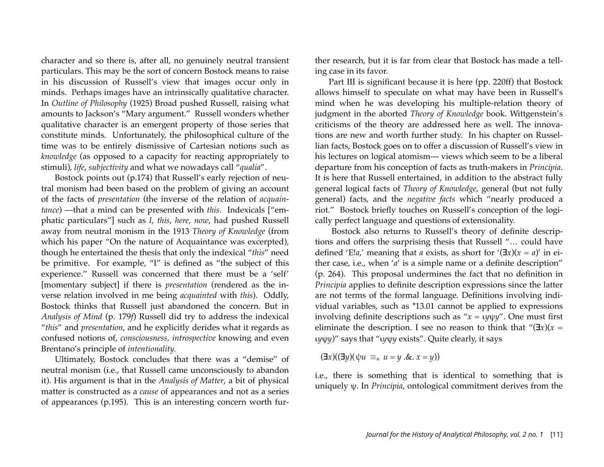character and so there is, after all, no genuinely neutral transient particulars. This may be the sort of concern Bostock means to raise in his discussion of Russell's view that images occur only in minds. Perhaps images have an intrinsically qualitative character. In *Outline of Philosophy* (1925) Broad pushed Russell, raising what amounts to Jackson's "Mary argument." Russell wonders whether qualitative character is an emergent property of those series that constitute minds. Unfortunately, the philosophical culture of the time was to be entirely dismissive of Cartesian notions such as *knowledge* (as opposed to a capacity for reacting appropriately to stimuli), *life*, *subjectivity* and what we nowadays call "*qualia*".

Bostock points out (p.174) that Russell's early rejection of neutral monism had been based on the problem of giving an account of the facts of *presentation* (the inverse of the relation of *acquaintance*) —that a mind can be presented with *this*. Indexicals ["emphatic particulars"] such as *I*, *this*, *here*, *now*, had pushed Russell away from neutral monism in the 1913 *Theory of Knowledge* (from which his paper "On the nature of Acquaintance was excerpted), though he entertained the thesis that only the indexical "*this*" need be primitive. For example, "I" is defined as "the subject of this experience." Russell was concerned that there must be a 'self' [momentary subject] if there is *presentation* (rendered as the inverse relation involved in me being *acquainted* with *this*). Oddly, Bostock thinks that Russell just abandoned the concern. But in *Analysis of Mind* (p. 179*f*) Russell did try to address the indexical "*this*" and *presentation*, and he explicitly derides what it regards as confused notions of, *consciousness, introspective* knowing and even Brentano's principle of *intentionality.*

Ultimately, Bostock concludes that there was a "demise" of neutral monism (i.e., that Russell came unconsciously to abandon it). His argument is that in the *Analysis of Matter*, a bit of physical matter is constructed as a *cause* of appearances and not as a series of appearances (p.195). This is an interesting concern worth further research, but it is far from clear that Bostock has made a telling case in its favor.

Part III is significant because it is here (pp. 220ff) that Bostock allows himself to speculate on what may have been in Russell's mind when he was developing his multiple-relation theory of judgment in the aborted *Theory of Knowledge* book. Wittgenstein's criticisms of the theory are addressed here as well. The innovations are new and worth further study. In his chapter on Russellian facts, Bostock goes on to offer a discussion of Russell's view in his lectures on logical atomism--- views which seem to be a liberal departure from his conception of facts as truth-makers in *Principia*. It is here that Russell entertained, in addition to the abstract fully general logical facts of *Theory of Knowledge*, general (but not fully general) facts, and the *negative facts* which "nearly produced a riot." Bostock briefly touches on Russell's conception of the logically perfect language and questions of extensionality.

 Bostock also returns to Russell's theory of definite descriptions and offers the surprising thesis that Russell "… could have defined 'E!*a*,' meaning that *a* exists, as short for '( $\exists x$ )( $x = a$ )' in either case, i.e., when '*a*' is a simple name or a definite description" (p. 264). This proposal undermines the fact that no definition in *Principia* applies to definite description expressions since the latter are not terms of the formal language. Definitions involving individual variables, such as \*13.01 cannot be applied to expressions involving definite descriptions such as "*x* = ι*y*ψ*y*". One must first eliminate the description. I see no reason to think that " $(\exists x)(x =$ ι*y*ψ*y*)" says that "ι*y*ψ*y* exists". Quite clearly, it says

$$
(\exists x)((\exists y)(\psi u \equiv_u u = y \cdot \& x = y))
$$

i.e., there is something that is identical to something that is uniquely ψ. In *Principia*, ontological commitment derives from the